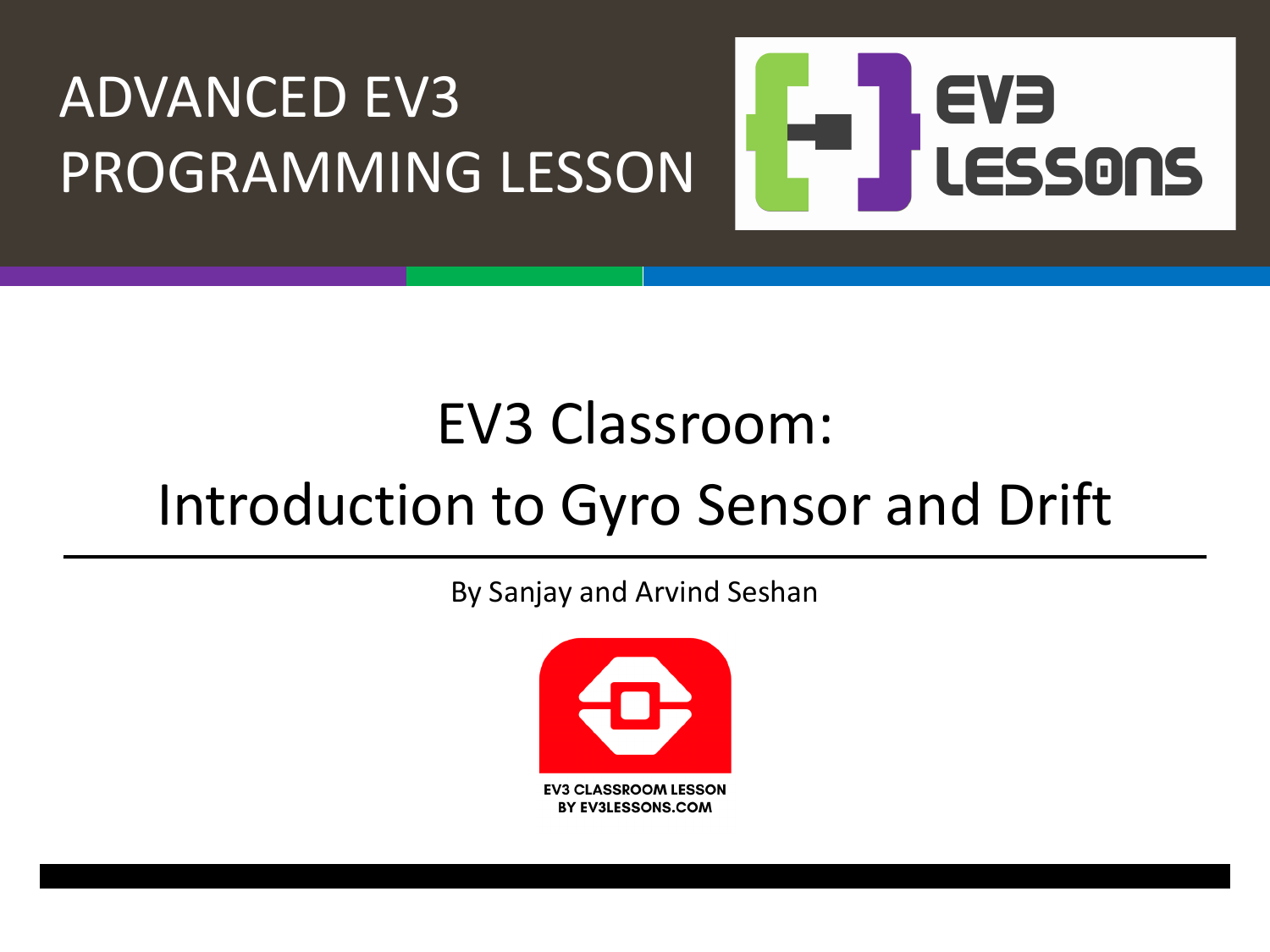

### EV3 Classroom:

### Introduction to Gyro Sensor and Drift

By Sanjay and Arvind Seshan

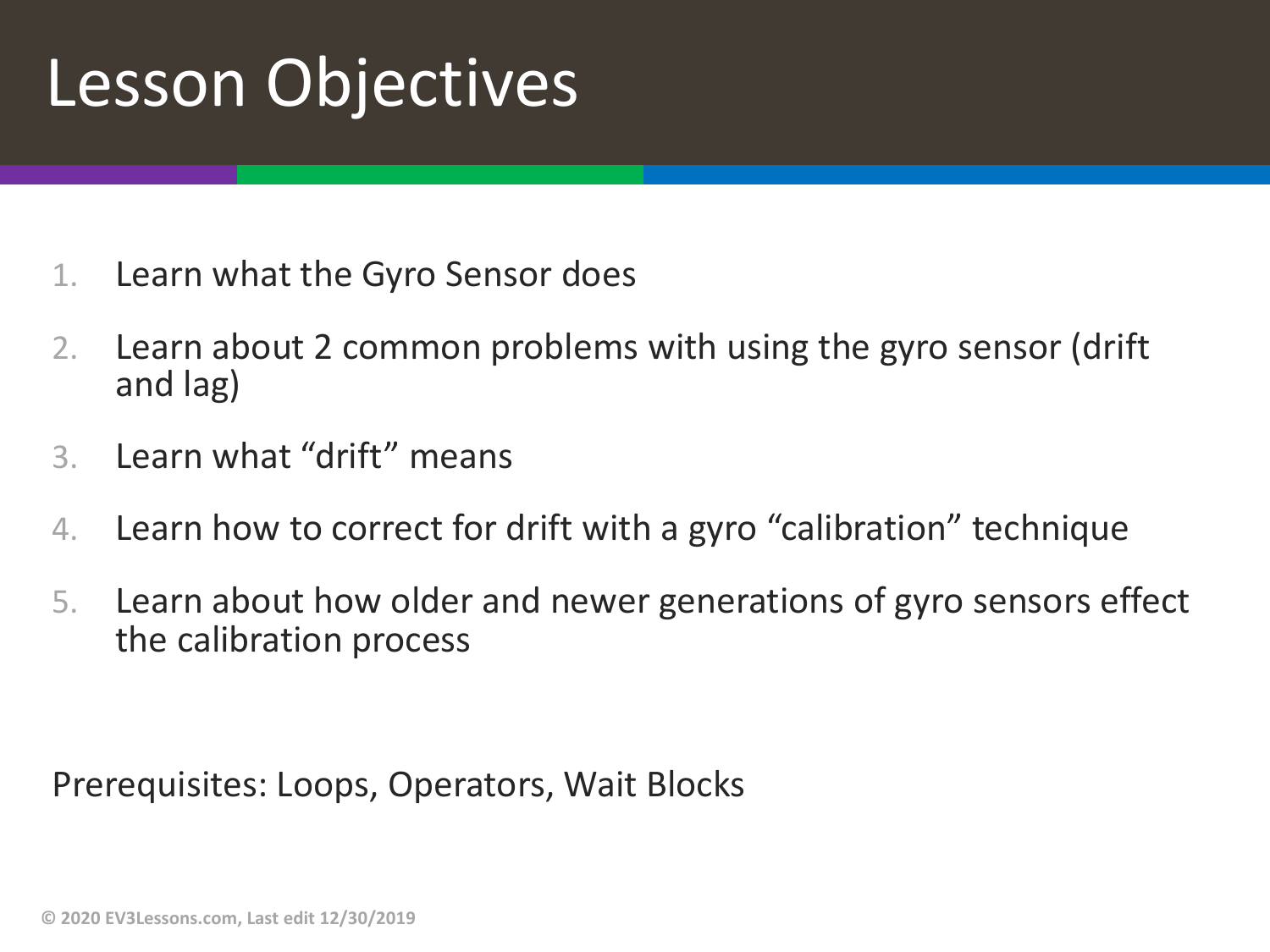## Lesson Objectives

- 1. Learn what the Gyro Sensor does
- 2. Learn about 2 common problems with using the gyro sensor (drift and lag)
- 3. Learn what "drift" means
- 4. Learn how to correct for drift with a gyro "calibration" technique
- 5. Learn about how older and newer generations of gyro sensors effect the calibration process

Prerequisites: Loops, Operators, Wait Blocks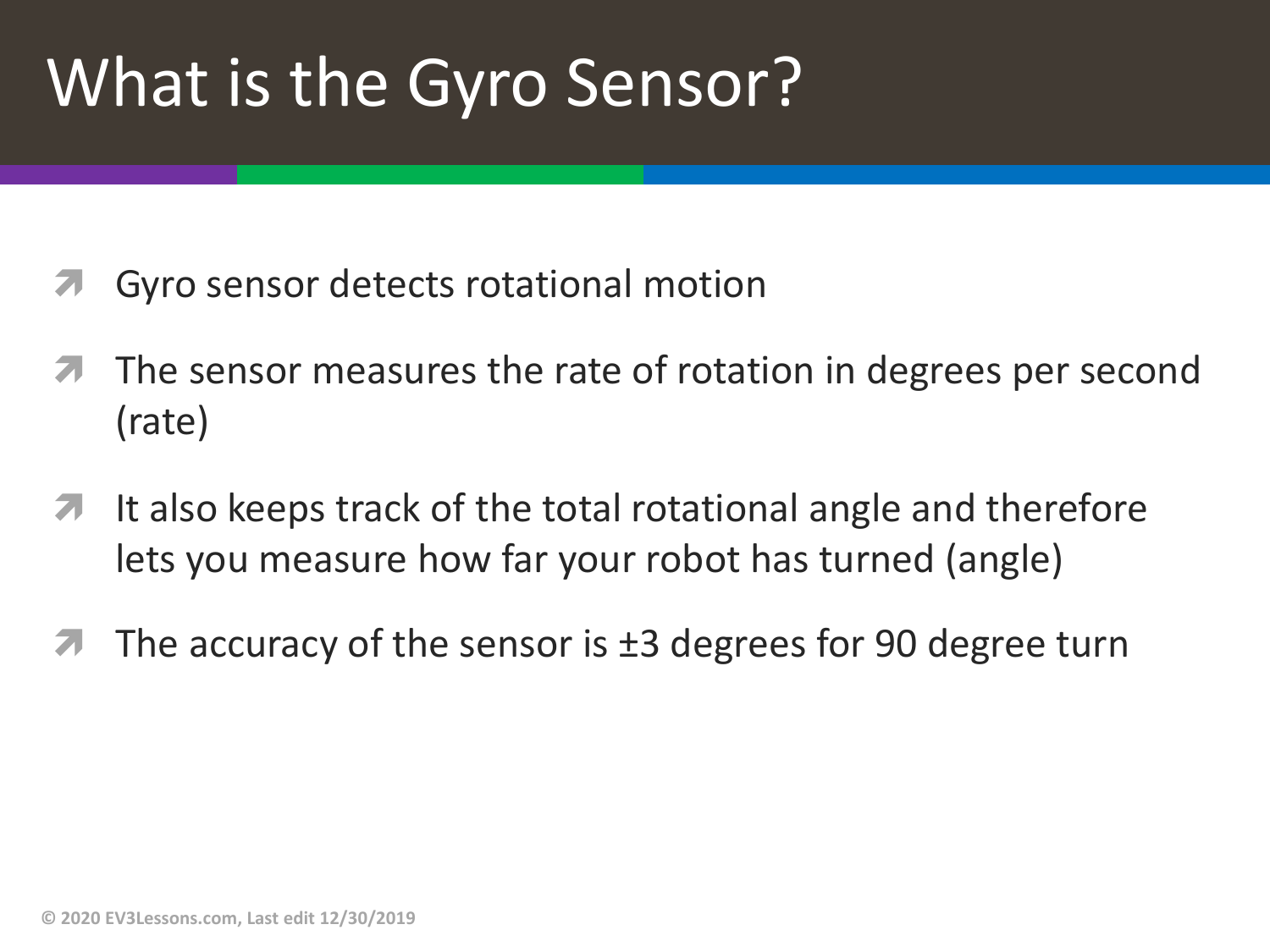# What is the Gyro Sensor?

- Gyro sensor detects rotational motion
- The sensor measures the rate of rotation in degrees per second (rate)
- $\blacktriangleright$  It also keeps track of the total rotational angle and therefore lets you measure how far your robot has turned (angle)
- The accuracy of the sensor is  $\pm 3$  degrees for 90 degree turn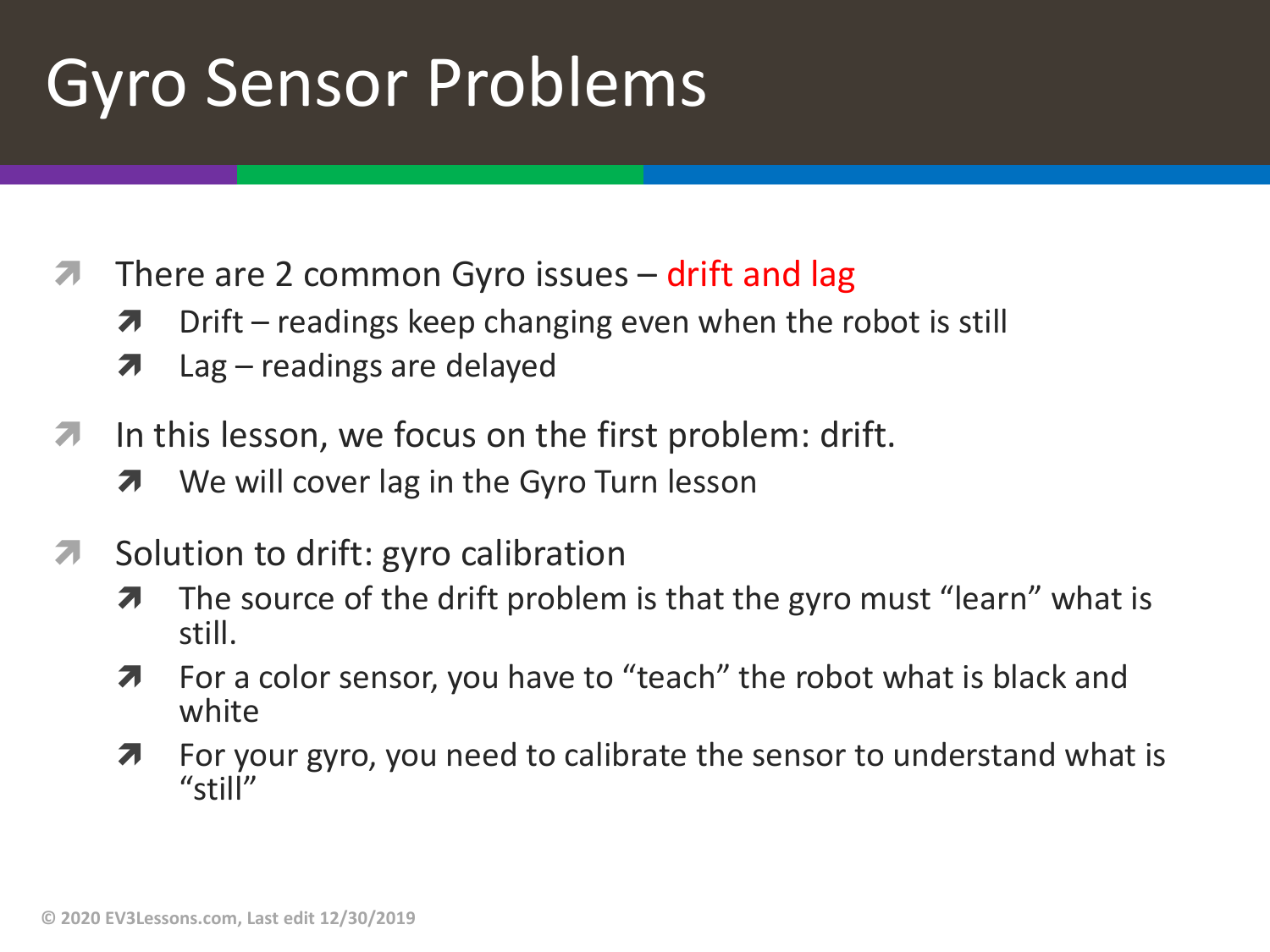# Gyro Sensor Problems

- $\sqrt{2}$  There are 2 common Gyro issues drift and lag
	- $\lambda$  Drift readings keep changing even when the robot is still
	- $\lambda$  Lag readings are delayed
- $\lambda$  In this lesson, we focus on the first problem: drift.
	- **7** We will cover lag in the Gyro Turn lesson
- **7** Solution to drift: gyro calibration
	- $\lambda$  The source of the drift problem is that the gyro must "learn" what is still.
	- **7** For a color sensor, you have to "teach" the robot what is black and white
	- $\lambda$  For your gyro, you need to calibrate the sensor to understand what is "still"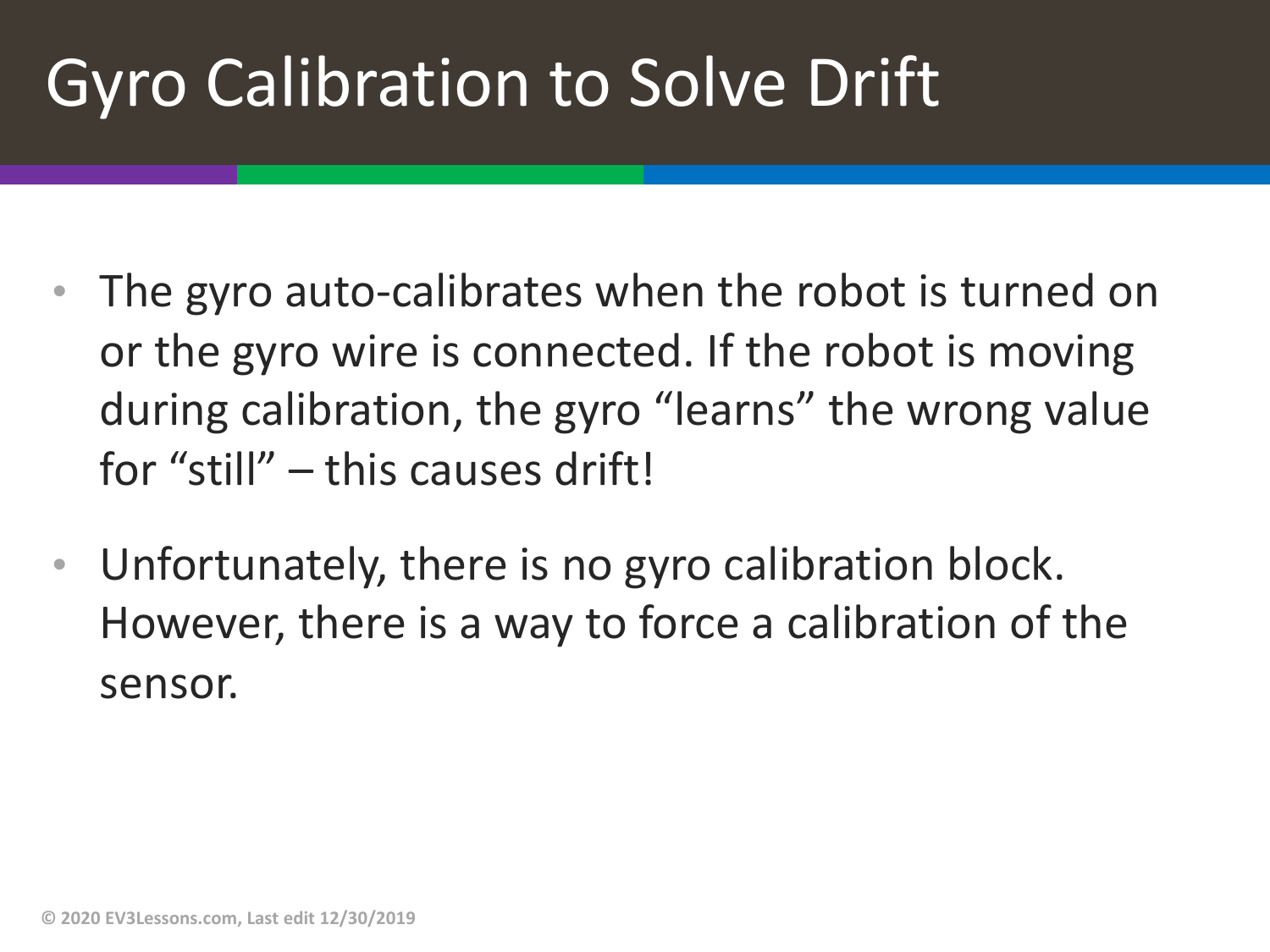# Gyro Calibration to Solve Drift

- The gyro auto-calibrates when the robot is turned on or the gyro wire is connected. If the robot is moving during calibration, the gyro "learns" the wrong value for "still" – this causes drift!
- Unfortunately, there is no gyro calibration block. However, there is a way to force a calibration of the sensor.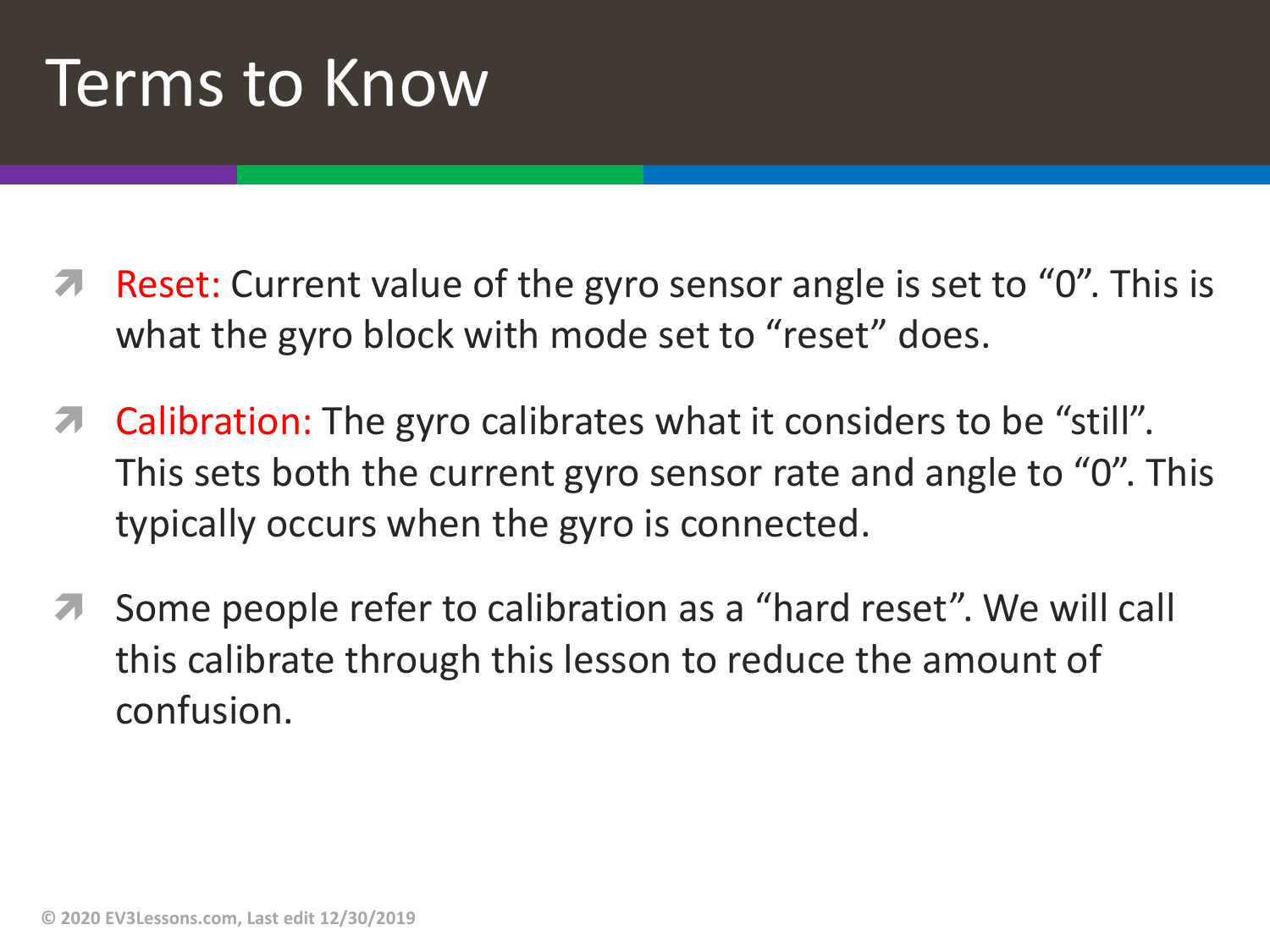### Terms to Know

- Reset: Current value of the gyro sensor angle is set to "0". This is what the gyro block with mode set to "reset" does.
- $\pi$  Calibration: The gyro calibrates what it considers to be "still". This sets both the current gyro sensor rate and angle to "0". This typically occurs when the gyro is connected.
- Some people refer to calibration as a "hard reset". We will call this calibrate through this lesson to reduce the amount of confusion.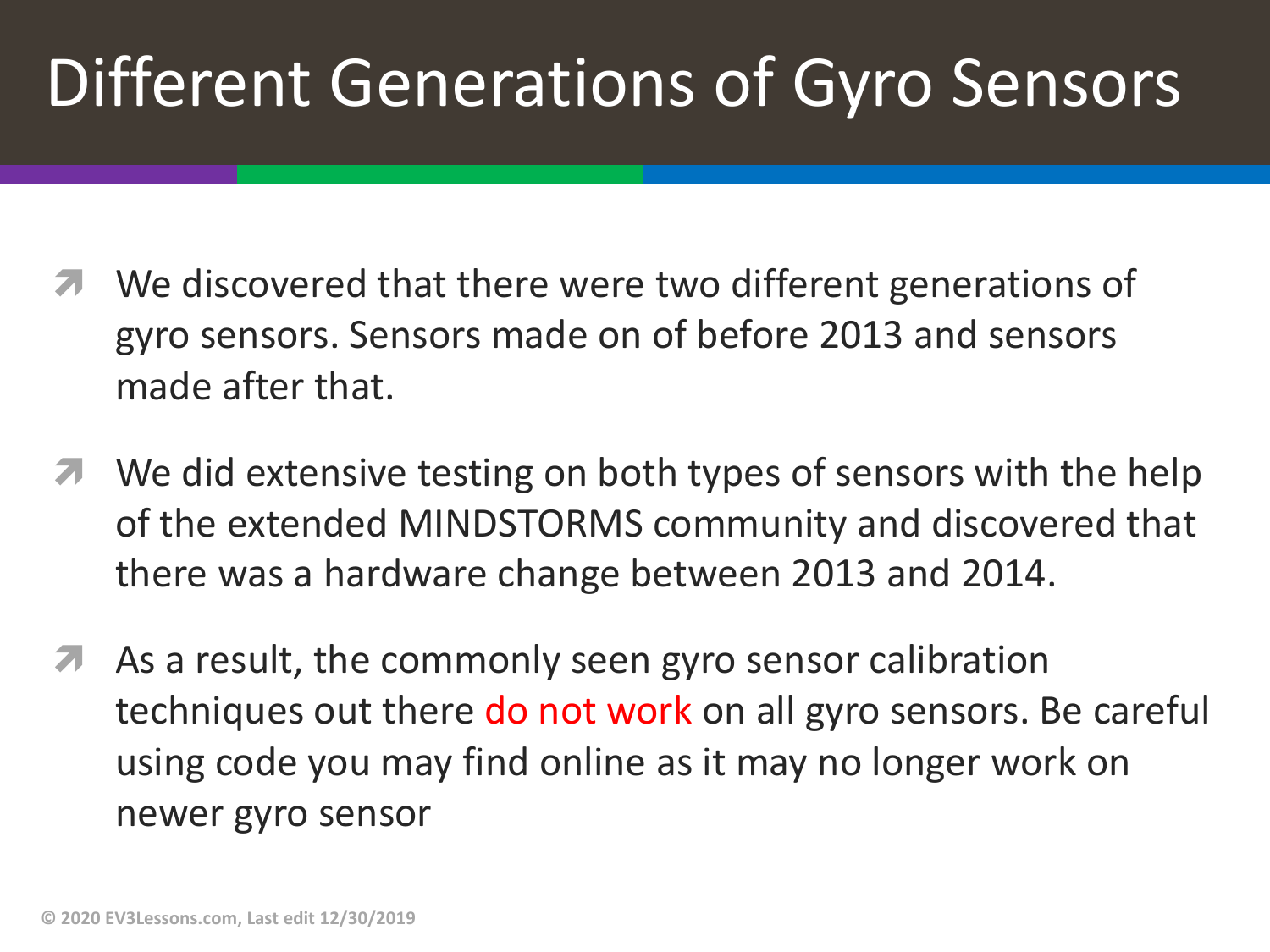# Different Generations of Gyro Sensors

- We discovered that there were two different generations of gyro sensors. Sensors made on of before 2013 and sensors made after that.
- **7** We did extensive testing on both types of sensors with the help of the extended MINDSTORMS community and discovered that there was a hardware change between 2013 and 2014.
- *A* As a result, the commonly seen gyro sensor calibration techniques out there do not work on all gyro sensors. Be careful using code you may find online as it may no longer work on newer gyro sensor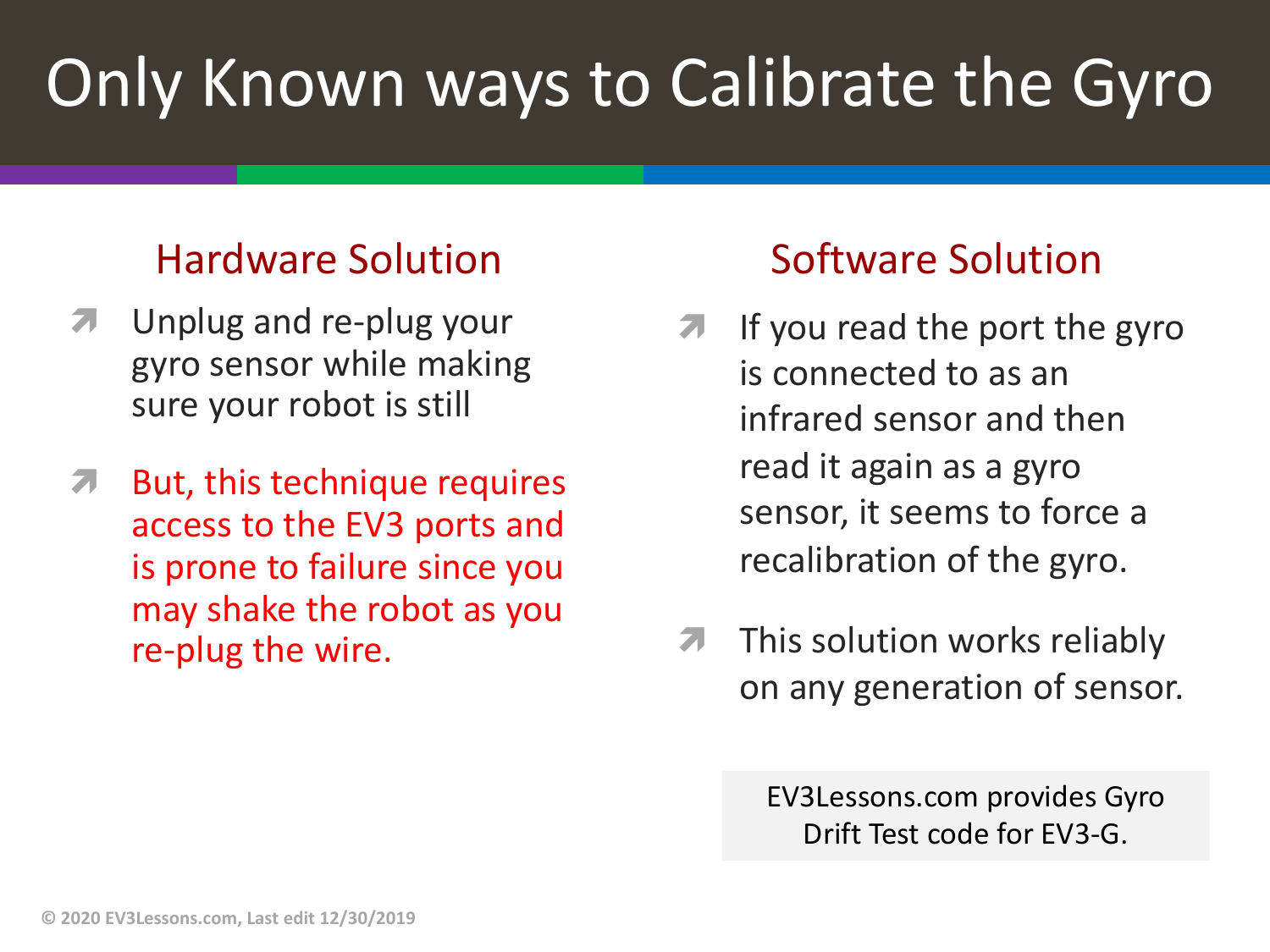# Only Known ways to Calibrate the Gyro

#### Hardware Solution

- Unplug and re-plug your gyro sensor while making sure your robot is still
- $\pi$  But, this technique requires access to the EV3 ports and is prone to failure since you may shake the robot as you re-plug the wire.

#### Software Solution

- If you read the port the gyro is connected to as an infrared sensor and then read it again as a gyro sensor, it seems to force a recalibration of the gyro.
- $\pi$  This solution works reliably on any generation of sensor.

EV3Lessons.com provides Gyro Drift Test code for EV3-G.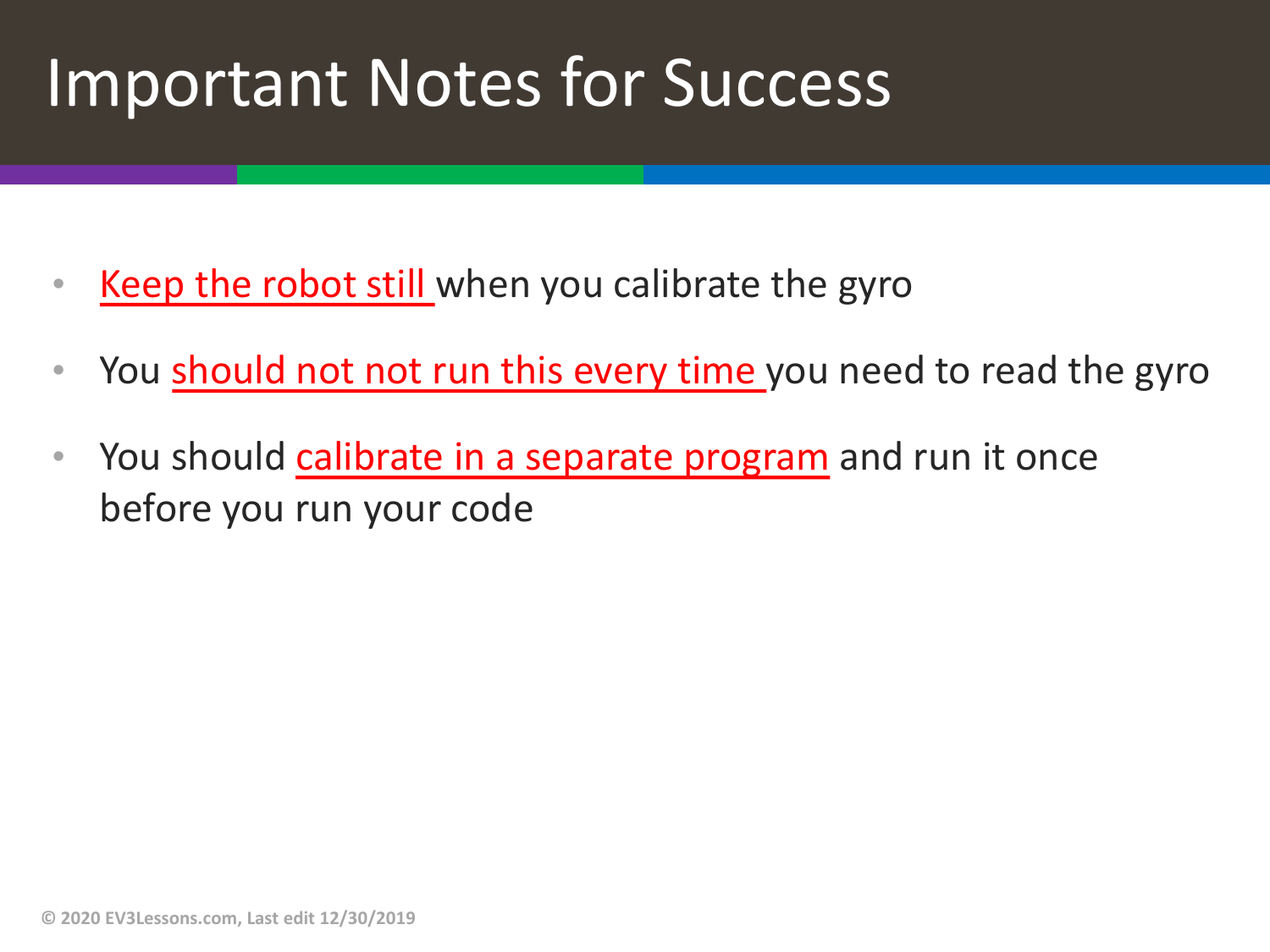### Important Notes for Success

- Keep the robot still when you calibrate the gyro
- You should not not run this every time you need to read the gyro
- You should calibrate in a separate program and run it once before you run your code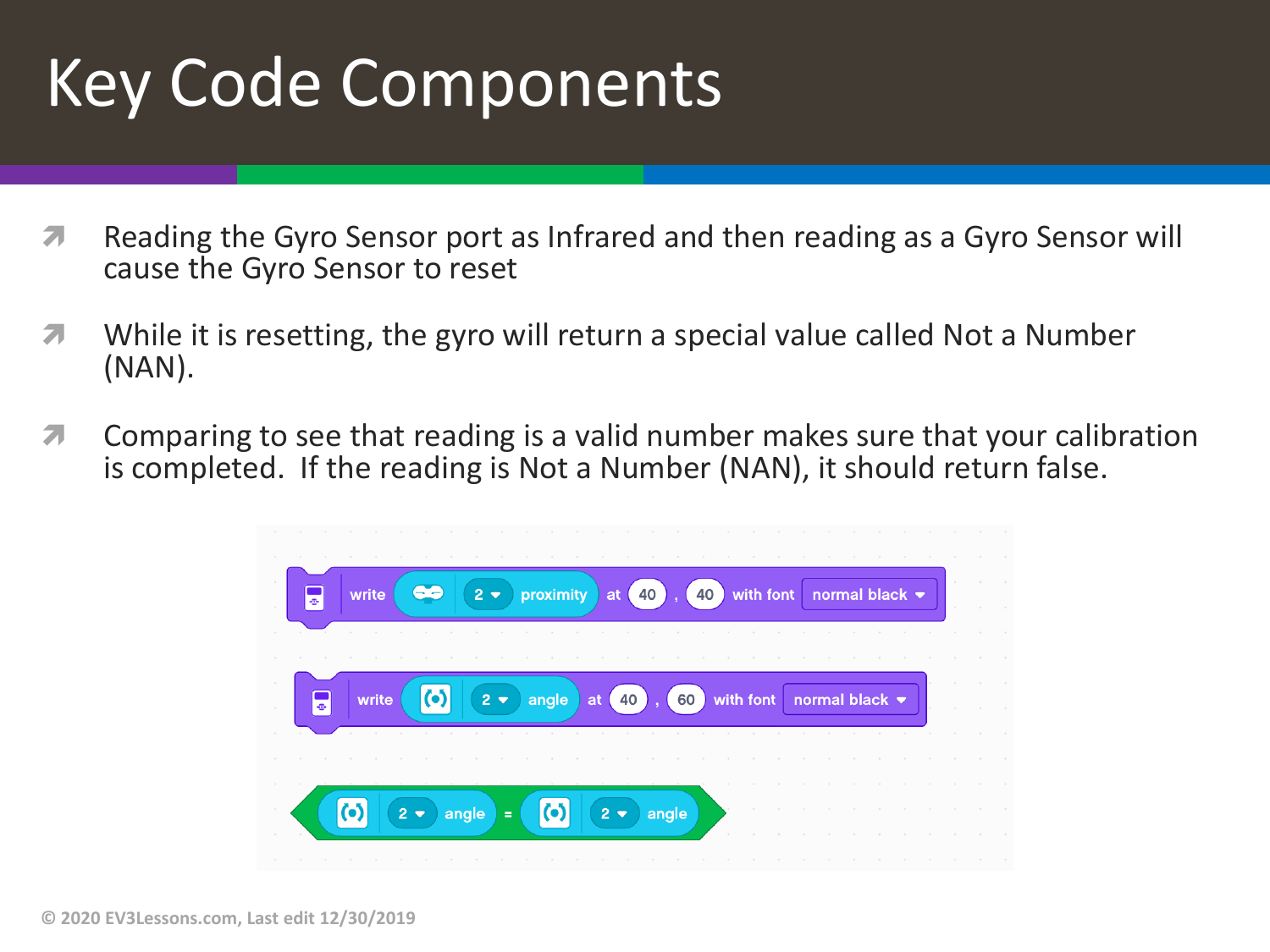# Key Code Components

- *i* Reading the Gyro Sensor port as Infrared and then reading as a Gyro Sensor will cause the Gyro Sensor to reset
- **7** While it is resetting, the gyro will return a special value called Not a Number (NAN).
- **7** Comparing to see that reading is a valid number makes sure that your calibration is completed. If the reading is Not a Number (NAN), it should return false.

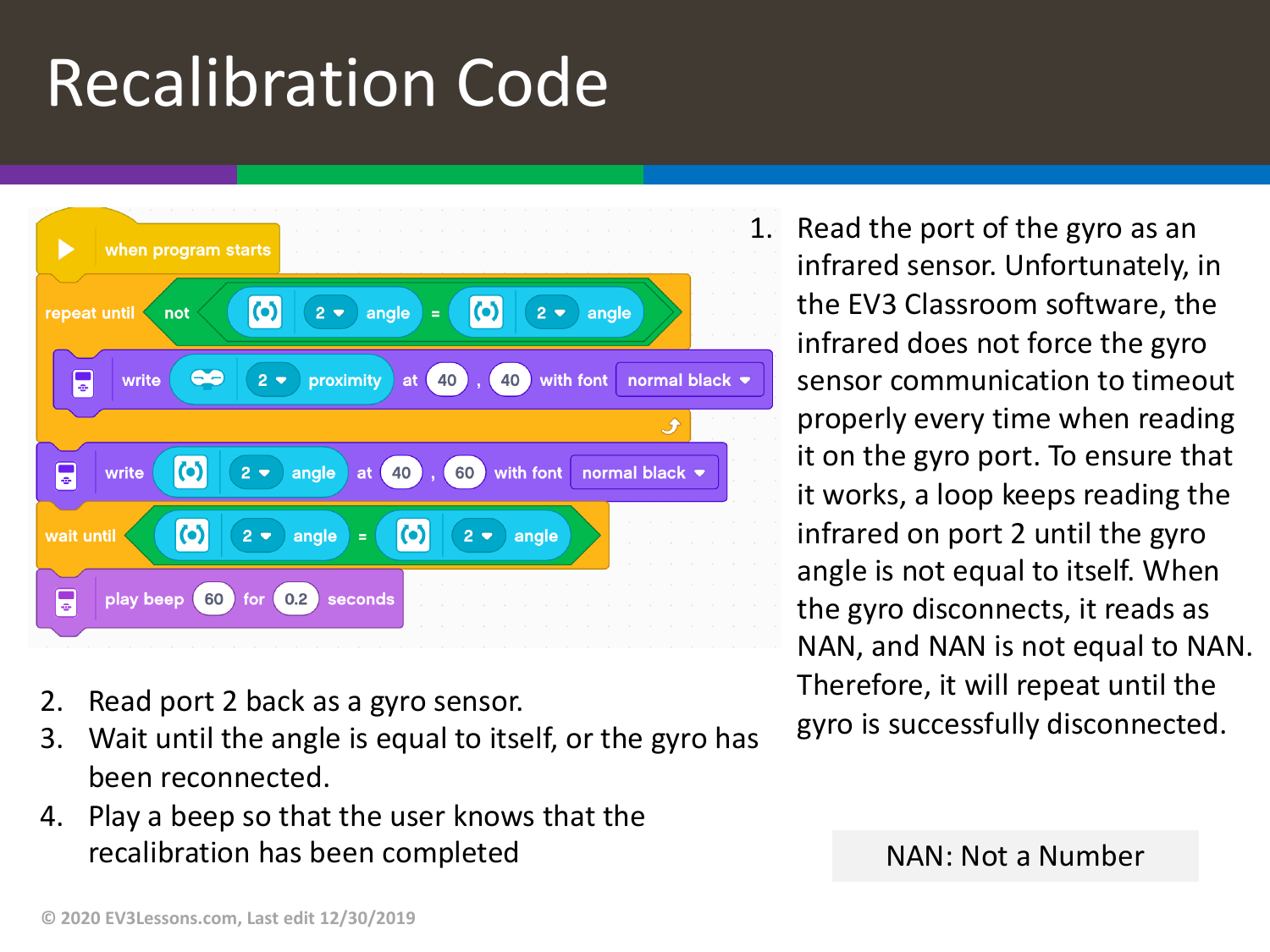# Recalibration Code



- 2. Read port 2 back as a gyro sensor.
- 3. Wait until the angle is equal to itself, or the gyro has been reconnected.
- 4. Play a beep so that the user knows that the recalibration has been completed NAN: Not a Number

1. Read the port of the gyro as an infrared sensor. Unfortunately, in the EV3 Classroom software, the infrared does not force the gyro sensor communication to timeout properly every time when reading it on the gyro port. To ensure that it works, a loop keeps reading the infrared on port 2 until the gyro angle is not equal to itself. When the gyro disconnects, it reads as NAN, and NAN is not equal to NAN. Therefore, it will repeat until the gyro is successfully disconnected.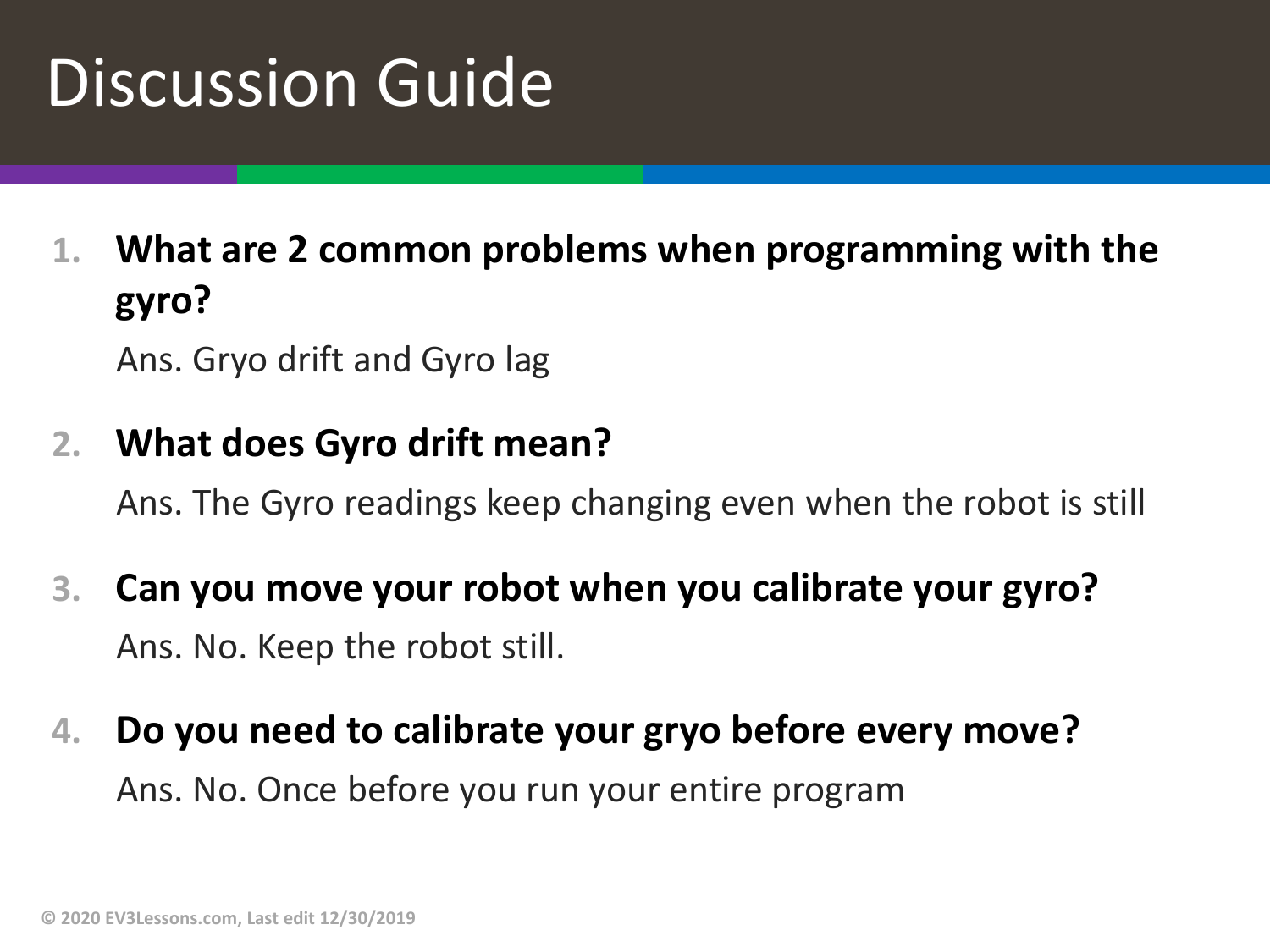## Discussion Guide

**1. What are 2 common problems when programming with the gyro?**

Ans. Gryo drift and Gyro lag

#### **2. What does Gyro drift mean?**

Ans. The Gyro readings keep changing even when the robot is still

- **3. Can you move your robot when you calibrate your gyro?** Ans. No. Keep the robot still.
- **4. Do you need to calibrate your gryo before every move?** Ans. No. Once before you run your entire program